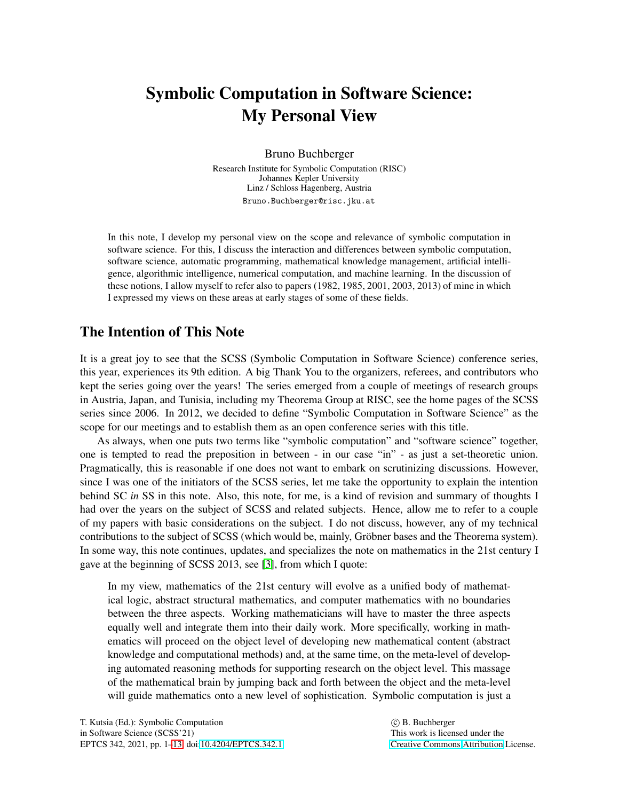# Symbolic Computation in Software Science: My Personal View

Bruno Buchberger

Research Institute for Symbolic Computation (RISC) Johannes Kepler University Linz / Schloss Hagenberg, Austria Bruno.Buchberger@risc.jku.at

In this note, I develop my personal view on the scope and relevance of symbolic computation in software science. For this, I discuss the interaction and differences between symbolic computation, software science, automatic programming, mathematical knowledge management, artificial intelligence, algorithmic intelligence, numerical computation, and machine learning. In the discussion of these notions, I allow myself to refer also to papers (1982, 1985, 2001, 2003, 2013) of mine in which I expressed my views on these areas at early stages of some of these fields.

## The Intention of This Note

It is a great joy to see that the SCSS (Symbolic Computation in Software Science) conference series, this year, experiences its 9th edition. A big Thank You to the organizers, referees, and contributors who kept the series going over the years! The series emerged from a couple of meetings of research groups in Austria, Japan, and Tunisia, including my Theorema Group at RISC, see the home pages of the SCSS series since 2006. In 2012, we decided to define "Symbolic Computation in Software Science" as the scope for our meetings and to establish them as an open conference series with this title.

As always, when one puts two terms like "symbolic computation" and "software science" together, one is tempted to read the preposition in between - in our case "in" - as just a set-theoretic union. Pragmatically, this is reasonable if one does not want to embark on scrutinizing discussions. However, since I was one of the initiators of the SCSS series, let me take the opportunity to explain the intention behind SC *in* SS in this note. Also, this note, for me, is a kind of revision and summary of thoughts I had over the years on the subject of SCSS and related subjects. Hence, allow me to refer to a couple of my papers with basic considerations on the subject. I do not discuss, however, any of my technical contributions to the subject of SCSS (which would be, mainly, Gröbner bases and the Theorema system). In some way, this note continues, updates, and specializes the note on mathematics in the 21st century I gave at the beginning of SCSS 2013, see [\[3\]](#page-12-1), from which I quote:

In my view, mathematics of the 21st century will evolve as a unified body of mathematical logic, abstract structural mathematics, and computer mathematics with no boundaries between the three aspects. Working mathematicians will have to master the three aspects equally well and integrate them into their daily work. More specifically, working in mathematics will proceed on the object level of developing new mathematical content (abstract knowledge and computational methods) and, at the same time, on the meta-level of developing automated reasoning methods for supporting research on the object level. This massage of the mathematical brain by jumping back and forth between the object and the meta-level will guide mathematics onto a new level of sophistication. Symbolic computation is just a

 c B. Buchberger This work is licensed under the [Creative Commons](https://creativecommons.org) [Attribution](https://creativecommons.org/licenses/by/4.0/) License.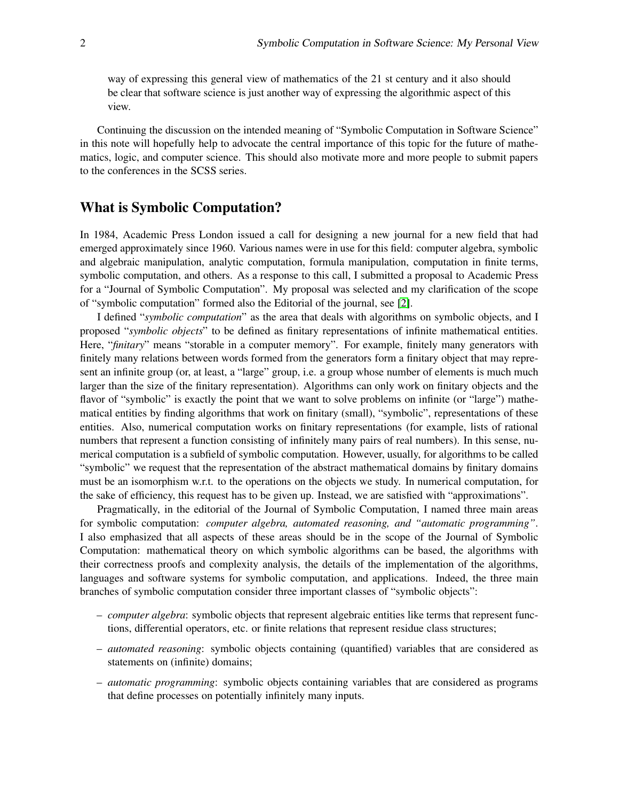way of expressing this general view of mathematics of the 21 st century and it also should be clear that software science is just another way of expressing the algorithmic aspect of this view.

Continuing the discussion on the intended meaning of "Symbolic Computation in Software Science" in this note will hopefully help to advocate the central importance of this topic for the future of mathematics, logic, and computer science. This should also motivate more and more people to submit papers to the conferences in the SCSS series.

### What is Symbolic Computation?

In 1984, Academic Press London issued a call for designing a new journal for a new field that had emerged approximately since 1960. Various names were in use for this field: computer algebra, symbolic and algebraic manipulation, analytic computation, formula manipulation, computation in finite terms, symbolic computation, and others. As a response to this call, I submitted a proposal to Academic Press for a "Journal of Symbolic Computation". My proposal was selected and my clarification of the scope of "symbolic computation" formed also the Editorial of the journal, see [\[2\]](#page-12-2).

I defined "*symbolic computation*" as the area that deals with algorithms on symbolic objects, and I proposed "*symbolic objects*" to be defined as finitary representations of infinite mathematical entities. Here, "*finitary*" means "storable in a computer memory". For example, finitely many generators with finitely many relations between words formed from the generators form a finitary object that may represent an infinite group (or, at least, a "large" group, i.e. a group whose number of elements is much much larger than the size of the finitary representation). Algorithms can only work on finitary objects and the flavor of "symbolic" is exactly the point that we want to solve problems on infinite (or "large") mathematical entities by finding algorithms that work on finitary (small), "symbolic", representations of these entities. Also, numerical computation works on finitary representations (for example, lists of rational numbers that represent a function consisting of infinitely many pairs of real numbers). In this sense, numerical computation is a subfield of symbolic computation. However, usually, for algorithms to be called "symbolic" we request that the representation of the abstract mathematical domains by finitary domains must be an isomorphism w.r.t. to the operations on the objects we study. In numerical computation, for the sake of efficiency, this request has to be given up. Instead, we are satisfied with "approximations".

Pragmatically, in the editorial of the Journal of Symbolic Computation, I named three main areas for symbolic computation: *computer algebra, automated reasoning, and "automatic programming"*. I also emphasized that all aspects of these areas should be in the scope of the Journal of Symbolic Computation: mathematical theory on which symbolic algorithms can be based, the algorithms with their correctness proofs and complexity analysis, the details of the implementation of the algorithms, languages and software systems for symbolic computation, and applications. Indeed, the three main branches of symbolic computation consider three important classes of "symbolic objects":

- *computer algebra*: symbolic objects that represent algebraic entities like terms that represent functions, differential operators, etc. or finite relations that represent residue class structures;
- *automated reasoning*: symbolic objects containing (quantified) variables that are considered as statements on (infinite) domains;
- *automatic programming*: symbolic objects containing variables that are considered as programs that define processes on potentially infinitely many inputs.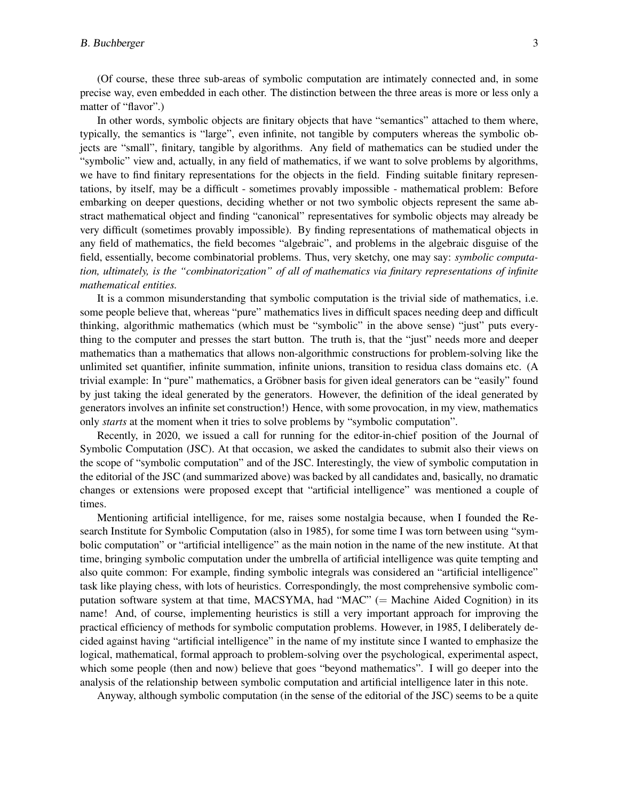(Of course, these three sub-areas of symbolic computation are intimately connected and, in some precise way, even embedded in each other. The distinction between the three areas is more or less only a matter of "flavor".)

In other words, symbolic objects are finitary objects that have "semantics" attached to them where, typically, the semantics is "large", even infinite, not tangible by computers whereas the symbolic objects are "small", finitary, tangible by algorithms. Any field of mathematics can be studied under the "symbolic" view and, actually, in any field of mathematics, if we want to solve problems by algorithms, we have to find finitary representations for the objects in the field. Finding suitable finitary representations, by itself, may be a difficult - sometimes provably impossible - mathematical problem: Before embarking on deeper questions, deciding whether or not two symbolic objects represent the same abstract mathematical object and finding "canonical" representatives for symbolic objects may already be very difficult (sometimes provably impossible). By finding representations of mathematical objects in any field of mathematics, the field becomes "algebraic", and problems in the algebraic disguise of the field, essentially, become combinatorial problems. Thus, very sketchy, one may say: *symbolic computation, ultimately, is the "combinatorization" of all of mathematics via finitary representations of infinite mathematical entities.*

It is a common misunderstanding that symbolic computation is the trivial side of mathematics, i.e. some people believe that, whereas "pure" mathematics lives in difficult spaces needing deep and difficult thinking, algorithmic mathematics (which must be "symbolic" in the above sense) "just" puts everything to the computer and presses the start button. The truth is, that the "just" needs more and deeper mathematics than a mathematics that allows non-algorithmic constructions for problem-solving like the unlimited set quantifier, infinite summation, infinite unions, transition to residua class domains etc. (A trivial example: In "pure" mathematics, a Gröbner basis for given ideal generators can be "easily" found by just taking the ideal generated by the generators. However, the definition of the ideal generated by generators involves an infinite set construction!) Hence, with some provocation, in my view, mathematics only *starts* at the moment when it tries to solve problems by "symbolic computation".

Recently, in 2020, we issued a call for running for the editor-in-chief position of the Journal of Symbolic Computation (JSC). At that occasion, we asked the candidates to submit also their views on the scope of "symbolic computation" and of the JSC. Interestingly, the view of symbolic computation in the editorial of the JSC (and summarized above) was backed by all candidates and, basically, no dramatic changes or extensions were proposed except that "artificial intelligence" was mentioned a couple of times.

Mentioning artificial intelligence, for me, raises some nostalgia because, when I founded the Research Institute for Symbolic Computation (also in 1985), for some time I was torn between using "symbolic computation" or "artificial intelligence" as the main notion in the name of the new institute. At that time, bringing symbolic computation under the umbrella of artificial intelligence was quite tempting and also quite common: For example, finding symbolic integrals was considered an "artificial intelligence" task like playing chess, with lots of heuristics. Correspondingly, the most comprehensive symbolic computation software system at that time, MACSYMA, had "MAC" (= Machine Aided Cognition) in its name! And, of course, implementing heuristics is still a very important approach for improving the practical efficiency of methods for symbolic computation problems. However, in 1985, I deliberately decided against having "artificial intelligence" in the name of my institute since I wanted to emphasize the logical, mathematical, formal approach to problem-solving over the psychological, experimental aspect, which some people (then and now) believe that goes "beyond mathematics". I will go deeper into the analysis of the relationship between symbolic computation and artificial intelligence later in this note.

Anyway, although symbolic computation (in the sense of the editorial of the JSC) seems to be a quite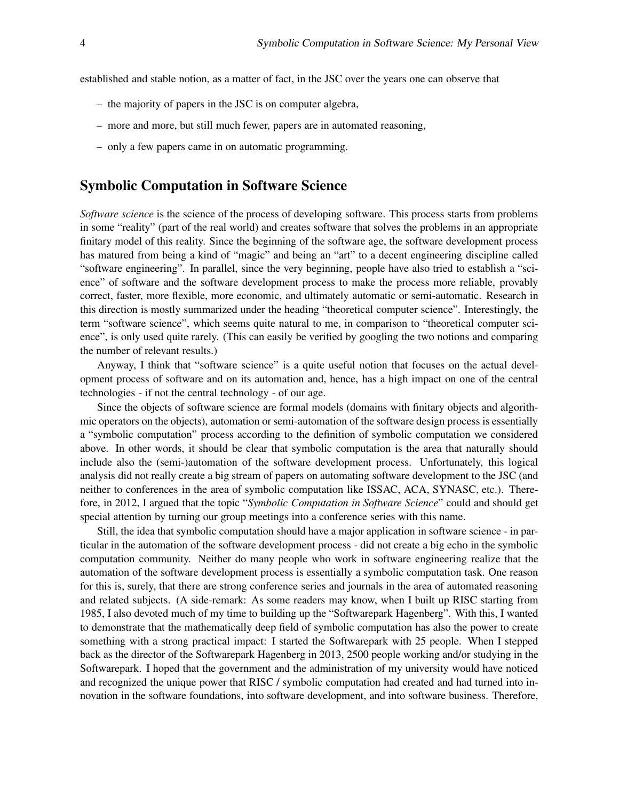established and stable notion, as a matter of fact, in the JSC over the years one can observe that

- the majority of papers in the JSC is on computer algebra,
- more and more, but still much fewer, papers are in automated reasoning,
- only a few papers came in on automatic programming.

## Symbolic Computation in Software Science

*Software science* is the science of the process of developing software. This process starts from problems in some "reality" (part of the real world) and creates software that solves the problems in an appropriate finitary model of this reality. Since the beginning of the software age, the software development process has matured from being a kind of "magic" and being an "art" to a decent engineering discipline called "software engineering". In parallel, since the very beginning, people have also tried to establish a "science" of software and the software development process to make the process more reliable, provably correct, faster, more flexible, more economic, and ultimately automatic or semi-automatic. Research in this direction is mostly summarized under the heading "theoretical computer science". Interestingly, the term "software science", which seems quite natural to me, in comparison to "theoretical computer science", is only used quite rarely. (This can easily be verified by googling the two notions and comparing the number of relevant results.)

Anyway, I think that "software science" is a quite useful notion that focuses on the actual development process of software and on its automation and, hence, has a high impact on one of the central technologies - if not the central technology - of our age.

Since the objects of software science are formal models (domains with finitary objects and algorithmic operators on the objects), automation or semi-automation of the software design process is essentially a "symbolic computation" process according to the definition of symbolic computation we considered above. In other words, it should be clear that symbolic computation is the area that naturally should include also the (semi-)automation of the software development process. Unfortunately, this logical analysis did not really create a big stream of papers on automating software development to the JSC (and neither to conferences in the area of symbolic computation like ISSAC, ACA, SYNASC, etc.). Therefore, in 2012, I argued that the topic "*Symbolic Computation in Software Science*" could and should get special attention by turning our group meetings into a conference series with this name.

Still, the idea that symbolic computation should have a major application in software science - in particular in the automation of the software development process - did not create a big echo in the symbolic computation community. Neither do many people who work in software engineering realize that the automation of the software development process is essentially a symbolic computation task. One reason for this is, surely, that there are strong conference series and journals in the area of automated reasoning and related subjects. (A side-remark: As some readers may know, when I built up RISC starting from 1985, I also devoted much of my time to building up the "Softwarepark Hagenberg". With this, I wanted to demonstrate that the mathematically deep field of symbolic computation has also the power to create something with a strong practical impact: I started the Softwarepark with 25 people. When I stepped back as the director of the Softwarepark Hagenberg in 2013, 2500 people working and/or studying in the Softwarepark. I hoped that the government and the administration of my university would have noticed and recognized the unique power that RISC / symbolic computation had created and had turned into innovation in the software foundations, into software development, and into software business. Therefore,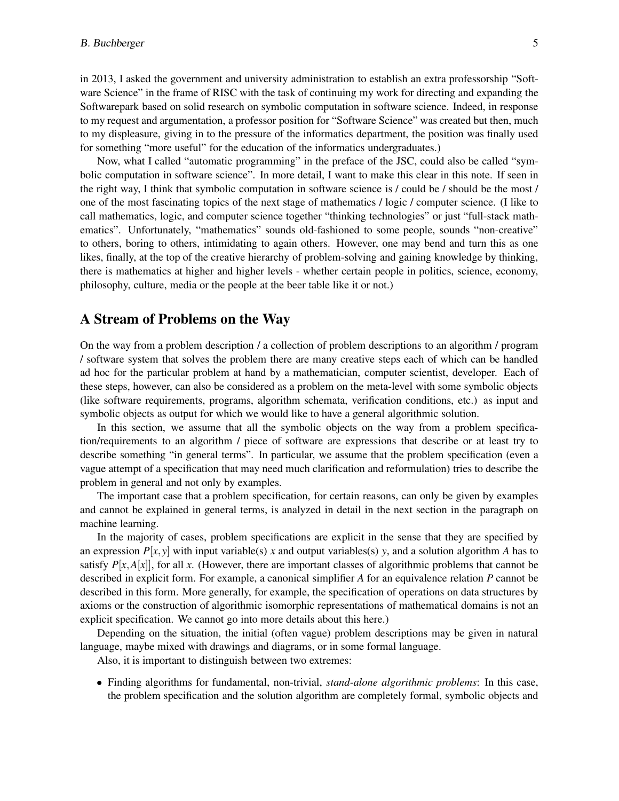in 2013, I asked the government and university administration to establish an extra professorship "Software Science" in the frame of RISC with the task of continuing my work for directing and expanding the Softwarepark based on solid research on symbolic computation in software science. Indeed, in response to my request and argumentation, a professor position for "Software Science" was created but then, much to my displeasure, giving in to the pressure of the informatics department, the position was finally used for something "more useful" for the education of the informatics undergraduates.)

Now, what I called "automatic programming" in the preface of the JSC, could also be called "symbolic computation in software science". In more detail, I want to make this clear in this note. If seen in the right way, I think that symbolic computation in software science is / could be / should be the most / one of the most fascinating topics of the next stage of mathematics / logic / computer science. (I like to call mathematics, logic, and computer science together "thinking technologies" or just "full-stack mathematics". Unfortunately, "mathematics" sounds old-fashioned to some people, sounds "non-creative" to others, boring to others, intimidating to again others. However, one may bend and turn this as one likes, finally, at the top of the creative hierarchy of problem-solving and gaining knowledge by thinking, there is mathematics at higher and higher levels - whether certain people in politics, science, economy, philosophy, culture, media or the people at the beer table like it or not.)

## A Stream of Problems on the Way

On the way from a problem description / a collection of problem descriptions to an algorithm / program / software system that solves the problem there are many creative steps each of which can be handled ad hoc for the particular problem at hand by a mathematician, computer scientist, developer. Each of these steps, however, can also be considered as a problem on the meta-level with some symbolic objects (like software requirements, programs, algorithm schemata, verification conditions, etc.) as input and symbolic objects as output for which we would like to have a general algorithmic solution.

In this section, we assume that all the symbolic objects on the way from a problem specification/requirements to an algorithm / piece of software are expressions that describe or at least try to describe something "in general terms". In particular, we assume that the problem specification (even a vague attempt of a specification that may need much clarification and reformulation) tries to describe the problem in general and not only by examples.

The important case that a problem specification, for certain reasons, can only be given by examples and cannot be explained in general terms, is analyzed in detail in the next section in the paragraph on machine learning.

In the majority of cases, problem specifications are explicit in the sense that they are specified by an expression  $P[x, y]$  with input variable(s) *x* and output variables(s) *y*, and a solution algorithm *A* has to satisfy  $P[x, A[x]]$ , for all x. (However, there are important classes of algorithmic problems that cannot be described in explicit form. For example, a canonical simplifier *A* for an equivalence relation *P* cannot be described in this form. More generally, for example, the specification of operations on data structures by axioms or the construction of algorithmic isomorphic representations of mathematical domains is not an explicit specification. We cannot go into more details about this here.)

Depending on the situation, the initial (often vague) problem descriptions may be given in natural language, maybe mixed with drawings and diagrams, or in some formal language.

Also, it is important to distinguish between two extremes:

• Finding algorithms for fundamental, non-trivial, *stand-alone algorithmic problems*: In this case, the problem specification and the solution algorithm are completely formal, symbolic objects and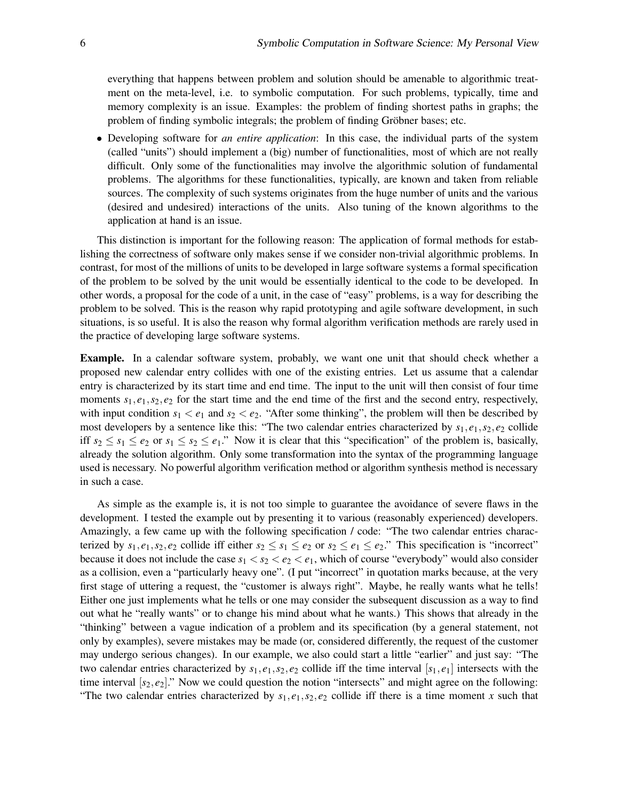everything that happens between problem and solution should be amenable to algorithmic treatment on the meta-level, i.e. to symbolic computation. For such problems, typically, time and memory complexity is an issue. Examples: the problem of finding shortest paths in graphs; the problem of finding symbolic integrals; the problem of finding Gröbner bases; etc.

• Developing software for *an entire application*: In this case, the individual parts of the system (called "units") should implement a (big) number of functionalities, most of which are not really difficult. Only some of the functionalities may involve the algorithmic solution of fundamental problems. The algorithms for these functionalities, typically, are known and taken from reliable sources. The complexity of such systems originates from the huge number of units and the various (desired and undesired) interactions of the units. Also tuning of the known algorithms to the application at hand is an issue.

This distinction is important for the following reason: The application of formal methods for establishing the correctness of software only makes sense if we consider non-trivial algorithmic problems. In contrast, for most of the millions of units to be developed in large software systems a formal specification of the problem to be solved by the unit would be essentially identical to the code to be developed. In other words, a proposal for the code of a unit, in the case of "easy" problems, is a way for describing the problem to be solved. This is the reason why rapid prototyping and agile software development, in such situations, is so useful. It is also the reason why formal algorithm verification methods are rarely used in the practice of developing large software systems.

Example. In a calendar software system, probably, we want one unit that should check whether a proposed new calendar entry collides with one of the existing entries. Let us assume that a calendar entry is characterized by its start time and end time. The input to the unit will then consist of four time moments  $s_1, e_1, s_2, e_2$  for the start time and the end time of the first and the second entry, respectively, with input condition  $s_1 < e_1$  and  $s_2 < e_2$ . "After some thinking", the problem will then be described by most developers by a sentence like this: "The two calendar entries characterized by *s*1,*e*1,*s*2,*e*<sup>2</sup> collide iff  $s_2 \leq s_1 \leq e_2$  or  $s_1 \leq s_2 \leq e_1$ ." Now it is clear that this "specification" of the problem is, basically, already the solution algorithm. Only some transformation into the syntax of the programming language used is necessary. No powerful algorithm verification method or algorithm synthesis method is necessary in such a case.

As simple as the example is, it is not too simple to guarantee the avoidance of severe flaws in the development. I tested the example out by presenting it to various (reasonably experienced) developers. Amazingly, a few came up with the following specification / code: "The two calendar entries characterized by  $s_1, e_1, s_2, e_2$  collide iff either  $s_2 \leq s_1 \leq e_2$  or  $s_2 \leq e_1 \leq e_2$ ." This specification is "incorrect" because it does not include the case  $s_1 < s_2 < e_2 < e_1$ , which of course "everybody" would also consider as a collision, even a "particularly heavy one". (I put "incorrect" in quotation marks because, at the very first stage of uttering a request, the "customer is always right". Maybe, he really wants what he tells! Either one just implements what he tells or one may consider the subsequent discussion as a way to find out what he "really wants" or to change his mind about what he wants.) This shows that already in the "thinking" between a vague indication of a problem and its specification (by a general statement, not only by examples), severe mistakes may be made (or, considered differently, the request of the customer may undergo serious changes). In our example, we also could start a little "earlier" and just say: "The two calendar entries characterized by  $s_1, e_1, s_2, e_2$  collide iff the time interval  $[s_1, e_1]$  intersects with the time interval  $[s_2, e_2]$ ." Now we could question the notion "intersects" and might agree on the following: "The two calendar entries characterized by  $s_1, e_1, s_2, e_2$  collide iff there is a time moment *x* such that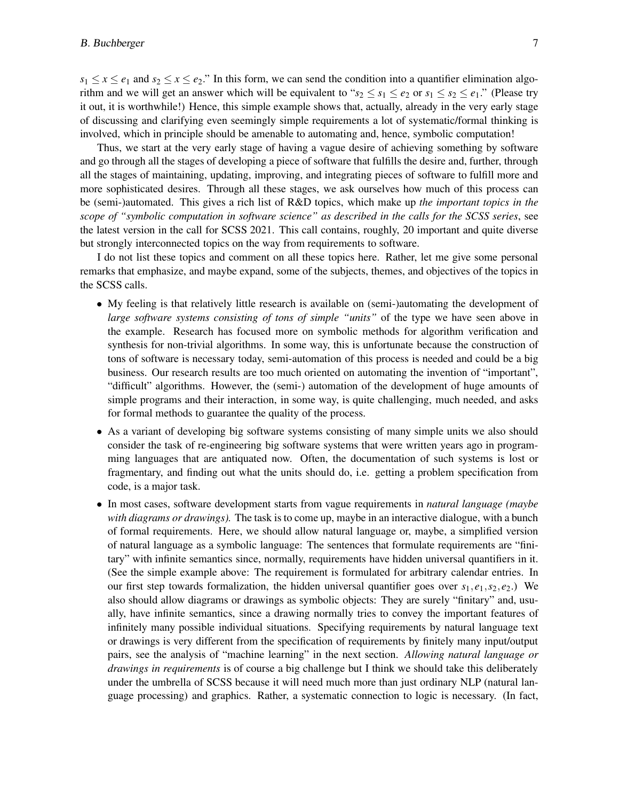$s_1 \leq x \leq e_1$  and  $s_2 \leq x \leq e_2$ ." In this form, we can send the condition into a quantifier elimination algorithm and we will get an answer which will be equivalent to " $s_2 < s_1 < e_2$  or  $s_1 < s_2 < e_1$ ." (Please try it out, it is worthwhile!) Hence, this simple example shows that, actually, already in the very early stage of discussing and clarifying even seemingly simple requirements a lot of systematic/formal thinking is involved, which in principle should be amenable to automating and, hence, symbolic computation!

Thus, we start at the very early stage of having a vague desire of achieving something by software and go through all the stages of developing a piece of software that fulfills the desire and, further, through all the stages of maintaining, updating, improving, and integrating pieces of software to fulfill more and more sophisticated desires. Through all these stages, we ask ourselves how much of this process can be (semi-)automated. This gives a rich list of R&D topics, which make up *the important topics in the scope of "symbolic computation in software science" as described in the calls for the SCSS series*, see the latest version in the call for SCSS 2021. This call contains, roughly, 20 important and quite diverse but strongly interconnected topics on the way from requirements to software.

I do not list these topics and comment on all these topics here. Rather, let me give some personal remarks that emphasize, and maybe expand, some of the subjects, themes, and objectives of the topics in the SCSS calls.

- My feeling is that relatively little research is available on (semi-)automating the development of *large software systems consisting of tons of simple "units"* of the type we have seen above in the example. Research has focused more on symbolic methods for algorithm verification and synthesis for non-trivial algorithms. In some way, this is unfortunate because the construction of tons of software is necessary today, semi-automation of this process is needed and could be a big business. Our research results are too much oriented on automating the invention of "important", "difficult" algorithms. However, the (semi-) automation of the development of huge amounts of simple programs and their interaction, in some way, is quite challenging, much needed, and asks for formal methods to guarantee the quality of the process.
- As a variant of developing big software systems consisting of many simple units we also should consider the task of re-engineering big software systems that were written years ago in programming languages that are antiquated now. Often, the documentation of such systems is lost or fragmentary, and finding out what the units should do, i.e. getting a problem specification from code, is a major task.
- In most cases, software development starts from vague requirements in *natural language (maybe with diagrams or drawings).* The task is to come up, maybe in an interactive dialogue, with a bunch of formal requirements. Here, we should allow natural language or, maybe, a simplified version of natural language as a symbolic language: The sentences that formulate requirements are "finitary" with infinite semantics since, normally, requirements have hidden universal quantifiers in it. (See the simple example above: The requirement is formulated for arbitrary calendar entries. In our first step towards formalization, the hidden universal quantifier goes over  $s_1, e_1, s_2, e_2$ .) We also should allow diagrams or drawings as symbolic objects: They are surely "finitary" and, usually, have infinite semantics, since a drawing normally tries to convey the important features of infinitely many possible individual situations. Specifying requirements by natural language text or drawings is very different from the specification of requirements by finitely many input/output pairs, see the analysis of "machine learning" in the next section. *Allowing natural language or drawings in requirements* is of course a big challenge but I think we should take this deliberately under the umbrella of SCSS because it will need much more than just ordinary NLP (natural language processing) and graphics. Rather, a systematic connection to logic is necessary. (In fact,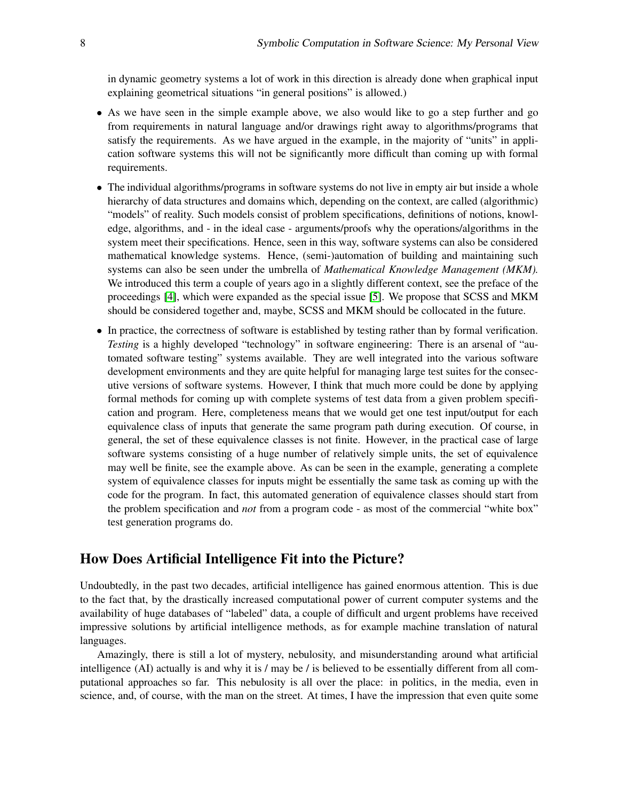in dynamic geometry systems a lot of work in this direction is already done when graphical input explaining geometrical situations "in general positions" is allowed.)

- As we have seen in the simple example above, we also would like to go a step further and go from requirements in natural language and/or drawings right away to algorithms/programs that satisfy the requirements. As we have argued in the example, in the majority of "units" in application software systems this will not be significantly more difficult than coming up with formal requirements.
- The individual algorithms/programs in software systems do not live in empty air but inside a whole hierarchy of data structures and domains which, depending on the context, are called (algorithmic) "models" of reality. Such models consist of problem specifications, definitions of notions, knowledge, algorithms, and - in the ideal case - arguments/proofs why the operations/algorithms in the system meet their specifications. Hence, seen in this way, software systems can also be considered mathematical knowledge systems. Hence, (semi-)automation of building and maintaining such systems can also be seen under the umbrella of *Mathematical Knowledge Management (MKM).* We introduced this term a couple of years ago in a slightly different context, see the preface of the proceedings [\[4\]](#page-12-3), which were expanded as the special issue [5]. We propose that SCSS and MKM should be considered together and, maybe, SCSS and MKM should be collocated in the future.
- In practice, the correctness of software is established by testing rather than by formal verification. *Testing* is a highly developed "technology" in software engineering: There is an arsenal of "automated software testing" systems available. They are well integrated into the various software development environments and they are quite helpful for managing large test suites for the consecutive versions of software systems. However, I think that much more could be done by applying formal methods for coming up with complete systems of test data from a given problem specification and program. Here, completeness means that we would get one test input/output for each equivalence class of inputs that generate the same program path during execution. Of course, in general, the set of these equivalence classes is not finite. However, in the practical case of large software systems consisting of a huge number of relatively simple units, the set of equivalence may well be finite, see the example above. As can be seen in the example, generating a complete system of equivalence classes for inputs might be essentially the same task as coming up with the code for the program. In fact, this automated generation of equivalence classes should start from the problem specification and *not* from a program code - as most of the commercial "white box" test generation programs do.

### How Does Artificial Intelligence Fit into the Picture?

Undoubtedly, in the past two decades, artificial intelligence has gained enormous attention. This is due to the fact that, by the drastically increased computational power of current computer systems and the availability of huge databases of "labeled" data, a couple of difficult and urgent problems have received impressive solutions by artificial intelligence methods, as for example machine translation of natural languages.

Amazingly, there is still a lot of mystery, nebulosity, and misunderstanding around what artificial intelligence (AI) actually is and why it is / may be / is believed to be essentially different from all computational approaches so far. This nebulosity is all over the place: in politics, in the media, even in science, and, of course, with the man on the street. At times, I have the impression that even quite some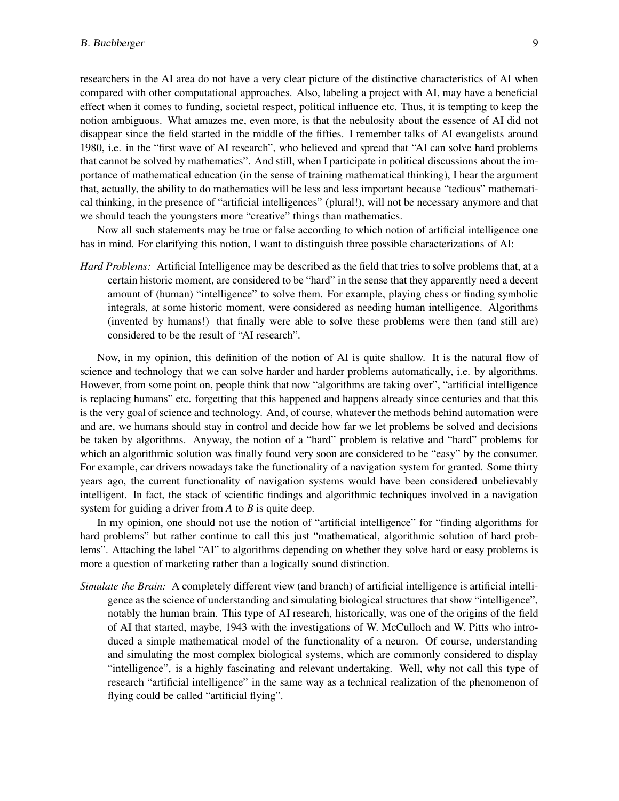researchers in the AI area do not have a very clear picture of the distinctive characteristics of AI when compared with other computational approaches. Also, labeling a project with AI, may have a beneficial effect when it comes to funding, societal respect, political influence etc. Thus, it is tempting to keep the notion ambiguous. What amazes me, even more, is that the nebulosity about the essence of AI did not disappear since the field started in the middle of the fifties. I remember talks of AI evangelists around 1980, i.e. in the "first wave of AI research", who believed and spread that "AI can solve hard problems that cannot be solved by mathematics". And still, when I participate in political discussions about the importance of mathematical education (in the sense of training mathematical thinking), I hear the argument that, actually, the ability to do mathematics will be less and less important because "tedious" mathematical thinking, in the presence of "artificial intelligences" (plural!), will not be necessary anymore and that we should teach the youngsters more "creative" things than mathematics.

Now all such statements may be true or false according to which notion of artificial intelligence one has in mind. For clarifying this notion, I want to distinguish three possible characterizations of AI:

*Hard Problems:* Artificial Intelligence may be described as the field that tries to solve problems that, at a certain historic moment, are considered to be "hard" in the sense that they apparently need a decent amount of (human) "intelligence" to solve them. For example, playing chess or finding symbolic integrals, at some historic moment, were considered as needing human intelligence. Algorithms (invented by humans!) that finally were able to solve these problems were then (and still are) considered to be the result of "AI research".

Now, in my opinion, this definition of the notion of AI is quite shallow. It is the natural flow of science and technology that we can solve harder and harder problems automatically, i.e. by algorithms. However, from some point on, people think that now "algorithms are taking over", "artificial intelligence is replacing humans" etc. forgetting that this happened and happens already since centuries and that this is the very goal of science and technology. And, of course, whatever the methods behind automation were and are, we humans should stay in control and decide how far we let problems be solved and decisions be taken by algorithms. Anyway, the notion of a "hard" problem is relative and "hard" problems for which an algorithmic solution was finally found very soon are considered to be "easy" by the consumer. For example, car drivers nowadays take the functionality of a navigation system for granted. Some thirty years ago, the current functionality of navigation systems would have been considered unbelievably intelligent. In fact, the stack of scientific findings and algorithmic techniques involved in a navigation system for guiding a driver from *A* to *B* is quite deep.

In my opinion, one should not use the notion of "artificial intelligence" for "finding algorithms for hard problems" but rather continue to call this just "mathematical, algorithmic solution of hard problems". Attaching the label "AI" to algorithms depending on whether they solve hard or easy problems is more a question of marketing rather than a logically sound distinction.

*Simulate the Brain:* A completely different view (and branch) of artificial intelligence is artificial intelligence as the science of understanding and simulating biological structures that show "intelligence", notably the human brain. This type of AI research, historically, was one of the origins of the field of AI that started, maybe, 1943 with the investigations of W. McCulloch and W. Pitts who introduced a simple mathematical model of the functionality of a neuron. Of course, understanding and simulating the most complex biological systems, which are commonly considered to display "intelligence", is a highly fascinating and relevant undertaking. Well, why not call this type of research "artificial intelligence" in the same way as a technical realization of the phenomenon of flying could be called "artificial flying".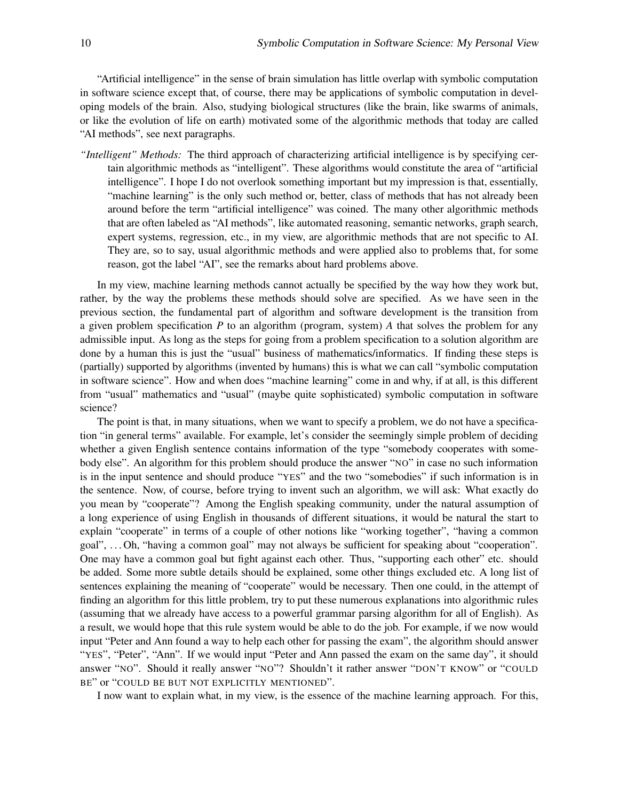"Artificial intelligence" in the sense of brain simulation has little overlap with symbolic computation in software science except that, of course, there may be applications of symbolic computation in developing models of the brain. Also, studying biological structures (like the brain, like swarms of animals, or like the evolution of life on earth) motivated some of the algorithmic methods that today are called "AI methods", see next paragraphs.

*"Intelligent" Methods:* The third approach of characterizing artificial intelligence is by specifying certain algorithmic methods as "intelligent". These algorithms would constitute the area of "artificial intelligence". I hope I do not overlook something important but my impression is that, essentially, "machine learning" is the only such method or, better, class of methods that has not already been around before the term "artificial intelligence" was coined. The many other algorithmic methods that are often labeled as "AI methods", like automated reasoning, semantic networks, graph search, expert systems, regression, etc., in my view, are algorithmic methods that are not specific to AI. They are, so to say, usual algorithmic methods and were applied also to problems that, for some reason, got the label "AI", see the remarks about hard problems above.

In my view, machine learning methods cannot actually be specified by the way how they work but, rather, by the way the problems these methods should solve are specified. As we have seen in the previous section, the fundamental part of algorithm and software development is the transition from a given problem specification *P* to an algorithm (program, system) *A* that solves the problem for any admissible input. As long as the steps for going from a problem specification to a solution algorithm are done by a human this is just the "usual" business of mathematics/informatics. If finding these steps is (partially) supported by algorithms (invented by humans) this is what we can call "symbolic computation in software science". How and when does "machine learning" come in and why, if at all, is this different from "usual" mathematics and "usual" (maybe quite sophisticated) symbolic computation in software science?

The point is that, in many situations, when we want to specify a problem, we do not have a specification "in general terms" available. For example, let's consider the seemingly simple problem of deciding whether a given English sentence contains information of the type "somebody cooperates with somebody else". An algorithm for this problem should produce the answer "NO" in case no such information is in the input sentence and should produce "YES" and the two "somebodies" if such information is in the sentence. Now, of course, before trying to invent such an algorithm, we will ask: What exactly do you mean by "cooperate"? Among the English speaking community, under the natural assumption of a long experience of using English in thousands of different situations, it would be natural the start to explain "cooperate" in terms of a couple of other notions like "working together", "having a common goal", . . . Oh, "having a common goal" may not always be sufficient for speaking about "cooperation". One may have a common goal but fight against each other. Thus, "supporting each other" etc. should be added. Some more subtle details should be explained, some other things excluded etc. A long list of sentences explaining the meaning of "cooperate" would be necessary. Then one could, in the attempt of finding an algorithm for this little problem, try to put these numerous explanations into algorithmic rules (assuming that we already have access to a powerful grammar parsing algorithm for all of English). As a result, we would hope that this rule system would be able to do the job. For example, if we now would input "Peter and Ann found a way to help each other for passing the exam", the algorithm should answer "YES", "Peter", "Ann". If we would input "Peter and Ann passed the exam on the same day", it should answer "NO". Should it really answer "NO"? Shouldn't it rather answer "DON'T KNOW" or "COULD BE" or "COULD BE BUT NOT EXPLICITLY MENTIONED".

I now want to explain what, in my view, is the essence of the machine learning approach. For this,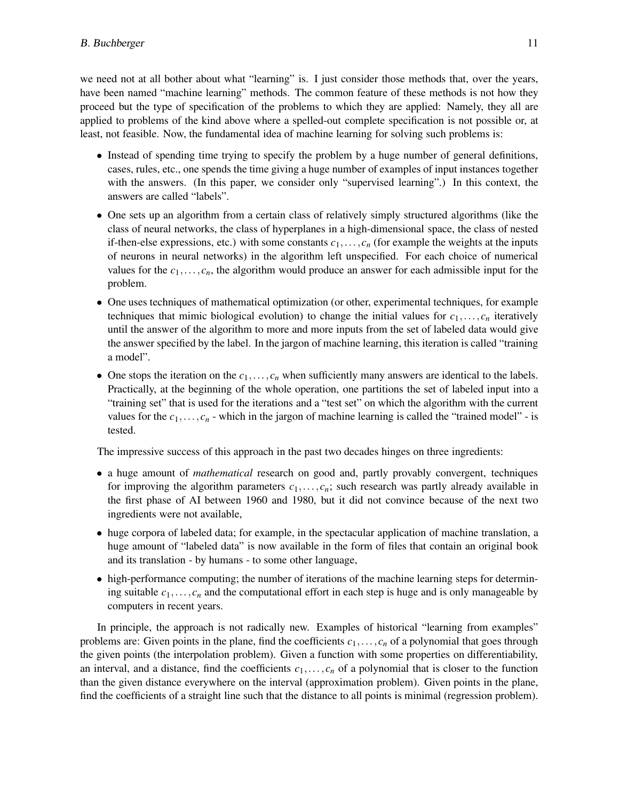we need not at all bother about what "learning" is. I just consider those methods that, over the years, have been named "machine learning" methods. The common feature of these methods is not how they proceed but the type of specification of the problems to which they are applied: Namely, they all are applied to problems of the kind above where a spelled-out complete specification is not possible or, at least, not feasible. Now, the fundamental idea of machine learning for solving such problems is:

- Instead of spending time trying to specify the problem by a huge number of general definitions, cases, rules, etc., one spends the time giving a huge number of examples of input instances together with the answers. (In this paper, we consider only "supervised learning".) In this context, the answers are called "labels".
- One sets up an algorithm from a certain class of relatively simply structured algorithms (like the class of neural networks, the class of hyperplanes in a high-dimensional space, the class of nested if-then-else expressions, etc.) with some constants  $c_1, \ldots, c_n$  (for example the weights at the inputs of neurons in neural networks) in the algorithm left unspecified. For each choice of numerical values for the  $c_1, \ldots, c_n$ , the algorithm would produce an answer for each admissible input for the problem.
- One uses techniques of mathematical optimization (or other, experimental techniques, for example techniques that mimic biological evolution) to change the initial values for  $c_1, \ldots, c_n$  iteratively until the answer of the algorithm to more and more inputs from the set of labeled data would give the answer specified by the label. In the jargon of machine learning, this iteration is called "training a model".
- One stops the iteration on the  $c_1, \ldots, c_n$  when sufficiently many answers are identical to the labels. Practically, at the beginning of the whole operation, one partitions the set of labeled input into a "training set" that is used for the iterations and a "test set" on which the algorithm with the current values for the  $c_1, \ldots, c_n$  - which in the jargon of machine learning is called the "trained model" - is tested.

The impressive success of this approach in the past two decades hinges on three ingredients:

- a huge amount of *mathematical* research on good and, partly provably convergent, techniques for improving the algorithm parameters  $c_1, \ldots, c_n$ ; such research was partly already available in the first phase of AI between 1960 and 1980, but it did not convince because of the next two ingredients were not available,
- huge corpora of labeled data; for example, in the spectacular application of machine translation, a huge amount of "labeled data" is now available in the form of files that contain an original book and its translation - by humans - to some other language,
- high-performance computing; the number of iterations of the machine learning steps for determining suitable  $c_1, \ldots, c_n$  and the computational effort in each step is huge and is only manageable by computers in recent years.

In principle, the approach is not radically new. Examples of historical "learning from examples" problems are: Given points in the plane, find the coefficients  $c_1, \ldots, c_n$  of a polynomial that goes through the given points (the interpolation problem). Given a function with some properties on differentiability, an interval, and a distance, find the coefficients  $c_1, \ldots, c_n$  of a polynomial that is closer to the function than the given distance everywhere on the interval (approximation problem). Given points in the plane, find the coefficients of a straight line such that the distance to all points is minimal (regression problem).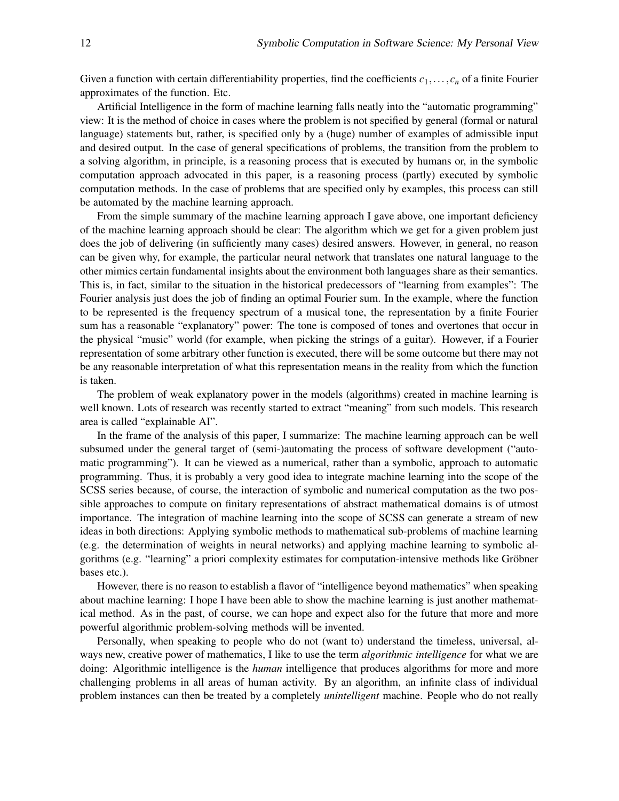Given a function with certain differentiability properties, find the coefficients  $c_1, \ldots, c_n$  of a finite Fourier approximates of the function. Etc.

Artificial Intelligence in the form of machine learning falls neatly into the "automatic programming" view: It is the method of choice in cases where the problem is not specified by general (formal or natural language) statements but, rather, is specified only by a (huge) number of examples of admissible input and desired output. In the case of general specifications of problems, the transition from the problem to a solving algorithm, in principle, is a reasoning process that is executed by humans or, in the symbolic computation approach advocated in this paper, is a reasoning process (partly) executed by symbolic computation methods. In the case of problems that are specified only by examples, this process can still be automated by the machine learning approach.

From the simple summary of the machine learning approach I gave above, one important deficiency of the machine learning approach should be clear: The algorithm which we get for a given problem just does the job of delivering (in sufficiently many cases) desired answers. However, in general, no reason can be given why, for example, the particular neural network that translates one natural language to the other mimics certain fundamental insights about the environment both languages share as their semantics. This is, in fact, similar to the situation in the historical predecessors of "learning from examples": The Fourier analysis just does the job of finding an optimal Fourier sum. In the example, where the function to be represented is the frequency spectrum of a musical tone, the representation by a finite Fourier sum has a reasonable "explanatory" power: The tone is composed of tones and overtones that occur in the physical "music" world (for example, when picking the strings of a guitar). However, if a Fourier representation of some arbitrary other function is executed, there will be some outcome but there may not be any reasonable interpretation of what this representation means in the reality from which the function is taken.

The problem of weak explanatory power in the models (algorithms) created in machine learning is well known. Lots of research was recently started to extract "meaning" from such models. This research area is called "explainable AI".

In the frame of the analysis of this paper, I summarize: The machine learning approach can be well subsumed under the general target of (semi-)automating the process of software development ("automatic programming"). It can be viewed as a numerical, rather than a symbolic, approach to automatic programming. Thus, it is probably a very good idea to integrate machine learning into the scope of the SCSS series because, of course, the interaction of symbolic and numerical computation as the two possible approaches to compute on finitary representations of abstract mathematical domains is of utmost importance. The integration of machine learning into the scope of SCSS can generate a stream of new ideas in both directions: Applying symbolic methods to mathematical sub-problems of machine learning (e.g. the determination of weights in neural networks) and applying machine learning to symbolic algorithms (e.g. "learning" a priori complexity estimates for computation-intensive methods like Gröbner bases etc.).

However, there is no reason to establish a flavor of "intelligence beyond mathematics" when speaking about machine learning: I hope I have been able to show the machine learning is just another mathematical method. As in the past, of course, we can hope and expect also for the future that more and more powerful algorithmic problem-solving methods will be invented.

Personally, when speaking to people who do not (want to) understand the timeless, universal, always new, creative power of mathematics, I like to use the term *algorithmic intelligence* for what we are doing: Algorithmic intelligence is the *human* intelligence that produces algorithms for more and more challenging problems in all areas of human activity. By an algorithm, an infinite class of individual problem instances can then be treated by a completely *unintelligent* machine. People who do not really